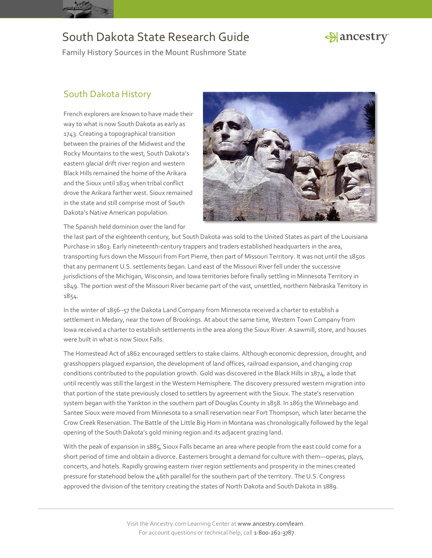



Family History Sources in the Mount Rushmore State

#### South Dakota History

French explorers are known to have made their way to what is now South Dakota as early as 1743. Creating a topographical transition between the prairies of the Midwest and the Rocky Mountains to the west, South Dakota's eastern glacial drift river region and western Black Hills remained the home of the Arikara and the Sioux until 1825 when tribal conflict drove the Arikara farther west. Sioux remained in the state and still comprise most of South Dakota's Native American population.



The Spanish held dominion over the land for

the last part of the eighteenth century, but South Dakota was sold to the United States as part of the Louisiana Purchase in 1803. Early nineteenth-century trappers and traders established headquarters in the area, transporting furs down the Missouri from Fort Pierre, then part of Missouri Territory. It was not until the 1850s that any permanent U.S. settlements began. Land east of the Missouri River fell under the successive jurisdictions of the Michigan, Wisconsin, and Iowa territories before finally settling in Minnesota Territory in 1849. The portion west of the Missouri River became part of the vast, unsettled, northern Nebraska Territory in 1854.

In the winter of 1856–57 the Dakota Land Company from Minnesota received a charter to establish a settlement in Medary, near the town of Brookings. At about the same time, Western Town Company from Iowa received a charter to establish settlements in the area along the Sioux River. A sawmill, store, and houses were built in what is now Sioux Falls.

The Homestead Act of 1862 encouraged settlers to stake claims. Although economic depression, drought, and grasshoppers plagued expansion, the development of land offices, railroad expansion, and changing crop conditions contributed to the population growth. Gold was discovered in the Black Hills in 1874, a lode that until recently was still the largest in the Western Hemisphere. The discovery pressured western migration into that portion of the state previously closed to settlers by agreement with the Sioux. The state's reservation system began with the Yankton in the southern part of Douglas County in 1858. In 1863 the Winnebago and Santee Sioux were moved from Minnesota to a small reservation near Fort Thompson, which later became the Crow Creek Reservation. The Battle of the Little Big Horn in Montana was chronologically followed by the legal opening of the South Dakota's gold mining region and its adjacent grazing land.

With the peak of expansion in 1885, Sioux Falls became an area where people from the east could come for a short period of time and obtain a divorce. Easterners brought a demand for culture with them—operas, plays, concerts, and hotels. Rapidly growing eastern river region settlements and prosperity in the mines created pressure for statehood below the 46th parallel for the southern part of the territory. The U.S. Congress approved the division of the territory creating the states of North Dakota and South Dakota in 1889.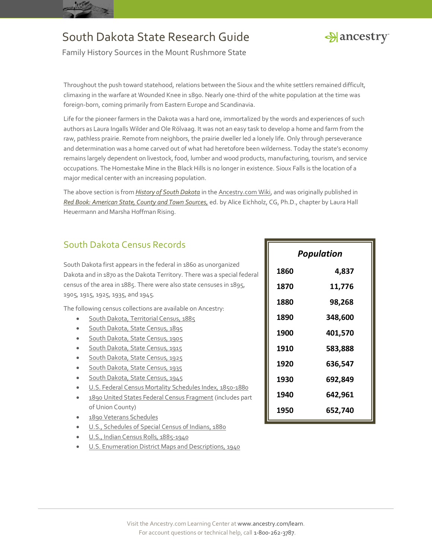



Family History Sources in the Mount Rushmore State

Throughout the push toward statehood, relations between the Sioux and the white settlers remained difficult, climaxing in the warfare at Wounded Knee in 1890. Nearly one-third of the white population at the time was foreign-born, coming primarily from Eastern Europe and Scandinavia.

Life for the pioneer farmers in the Dakota was a hard one, immortalized by the words and experiences of such authors as Laura Ingalls Wilder and Ole Rölvaag. It was not an easy task to develop a home and farm from the raw, pathless prairie. Remote from neighbors, the prairie dweller led a lonely life. Only through perseverance and determination was a home carved out of what had heretofore been wilderness. Today the state's economy remains largely dependent on livestock, food, lumber and wood products, manufacturing, tourism, and service occupations. The Homestake Mine in the Black Hills is no longer in existence. Sioux Falls is the location of a major medical center with an increasing population.

The above section is from *[History of South Dakota](http://www.ancestry.com/wiki/index.php?title=South_Dakota_Family_History_Research)* in th[e Ancestry.com Wiki,](http://www.ancestry.com/wiki/index.php?title=Main_Page) and was originally published in *[Red Book: American State, County and Town Sources,](http://bit.ly/vzy0vW)* ed. by Alice Eichholz, CG, Ph.D., chapter by Laura Hall Heuermann and Marsha Hoffman Rising.

### South Dakota Census Records

South Dakota first appears in the federal in 1860 as unorganized Dakota and in 1870 as the Dakota Territory. There was a special federal census of the area in 1885. There were also state censuses in 1895, 1905, 1915, 1925, 1935, and 1945.

The following census collections are available on Ancestry:

- **[South Dakota, Territorial Census, 1885](http://search.ancestry.com/search/db.aspx?dbid=6247)**
- [South Dakota, State Census, 1895](http://search.ancestry.com/search/db.aspx?dbid=6120)
- [South Dakota, State Census, 1905](http://search.ancestry.com/search/db.aspx?dbid=60159)
- [South Dakota, State Census, 1915](http://search.ancestry.com/search/db.aspx?dbid=60160)
- [South Dakota, State Census, 1925](http://search.ancestry.com/search/db.aspx?dbid=60161)
- **[South Dakota, State Census, 1935](http://search.ancestry.com/search/db.aspx?dbid=60162)**
- [South Dakota, State Census, 1945](http://search.ancestry.com/search/db.aspx?dbid=60163)
- [U.S. Federal Census Mortality Schedules Index,](http://search.ancestry.com/search/db.aspx?dbid=3530) 1850-1880
- [1890 United States Federal Census Fragment](http://search.ancestry.com/search/db.aspx?dbid=5445) (includes part of Union County)
- [1890 Veterans Schedules](http://search.ancestry.com/search/db.aspx?dbid=8667)
- [U.S., Schedules of Special Census of Indians, 1880](http://search.ancestry.com/search/db.aspx?dbid=2973)
- [U.S., Indian Census Rolls, 1885-1940](http://search.ancestry.com/search/db.aspx?dbid=1059)
- [U.S. Enumeration District Maps and Descriptions, 1940](http://search.ancestry.com/search/db.aspx?dbid=3028)

| <b>Population</b> |         |
|-------------------|---------|
| 1860              | 4,837   |
| 1870              | 11,776  |
| 1880              | 98,268  |
| 1890              | 348,600 |
| 1900              | 401,570 |
| 1910              | 583,888 |
| 1920              | 636,547 |
| 1930              | 692,849 |
| 1940              | 642,961 |
| 1950              | 652,740 |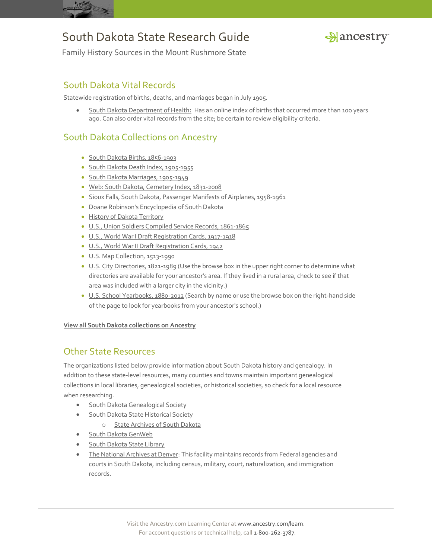



Family History Sources in the Mount Rushmore State

#### South Dakota Vital Records

Statewide registration of births, deaths, and marriages began in July 1905.

 [South Dakota Department of Health](https://doh.sd.gov/records/)**:** Has an online index of births that occurred more than 100 years ago. Can also order vital records from the site; be certain to review eligibility criteria.

#### South Dakota Collections on Ancestry

- [South Dakota Births, 1856-1903](http://search.ancestry.com/search/db.aspx?dbid=6996)
- [South Dakota Death Index, 1905-1955](http://search.ancestry.com/search/db.aspx?dbid=8659)
- · [South Dakota Marriages, 1905-1949](http://search.ancestry.com/search/db.aspx?dbid=8561)
- [Web: South Dakota, Cemetery Index, 1831-2008](http://search.ancestry.com/search/db.aspx?dbid=9253)
- [Sioux Falls, South Dakota, Passenger Manifests of Airplanes, 1958-1961](http://search.ancestry.com/search/db.aspx?dbid=60613)
- [Doane Robinson's Encyclopedia of South Dakota](http://search.ancestry.com/search/db.aspx?dbid=26120)
- [History of Dakota Territory](http://search.ancestry.com/search/db.aspx?dbid=25507)
- [U.S., Union Soldiers Compiled Service Records, 1861-1865](http://search.ancestry.com/search/db.aspx?dbid=2344)
- [U.S., World War I Draft Registration Cards, 1917-1918](http://search.ancestry.com/search/db.aspx?dbid=6482)
- [U.S., World War II Draft Registration Cards, 1942](http://search.ancestry.com/search/db.aspx?dbid=1002)
- [U.S. Map Collection, 1513-1990](http://search.ancestry.com/search/db.aspx?dbid=8739)
- [U.S. City Directories, 1821-1989](http://search.ancestry.com/search/db.aspx?dbid=2469) (Use the browse box in the upper right corner to determine what directories are available for your ancestor's area. If they lived in a rural area, check to see if that area was included with a larger city in the vicinity.)
- [U.S. School Yearbooks, 1880-2012](http://search.ancestry.com/search/db.aspx?dbid=1265) (Search by name or use the browse box on the right-hand side of the page to look for yearbooks from your ancestor's school.)

**[View all South Dakota collections on Ancestry](http://search.ancestry.com/Places/US/South-Dakota/Default.aspx)**

#### Other State Resources

The organizations listed below provide information about South Dakota history and genealogy. In addition to these state-level resources, many counties and towns maintain important genealogical collections in local libraries, genealogical societies, or historical societies, so check for a local resource when researching.

- [South Dakota Genealogical Society](http://www.rootsweb.ancestry.com/~sdgs/)
- [South Dakota State Historical Society](http://history.sd.gov/Archives/genealogists.aspx)
	- o [State Archives of South Dakota](http://history.sd.gov/archives/)
- [South Dakota GenWeb](http://sdgenweb.com/)
- [South Dakota State Library](http://library.sd.gov/)
- [The National Archives at Denver:](http://www.archives.gov/denver/) This facility maintains records from Federal agencies and courts in South Dakota, including census, military, court, naturalization, and immigration records.